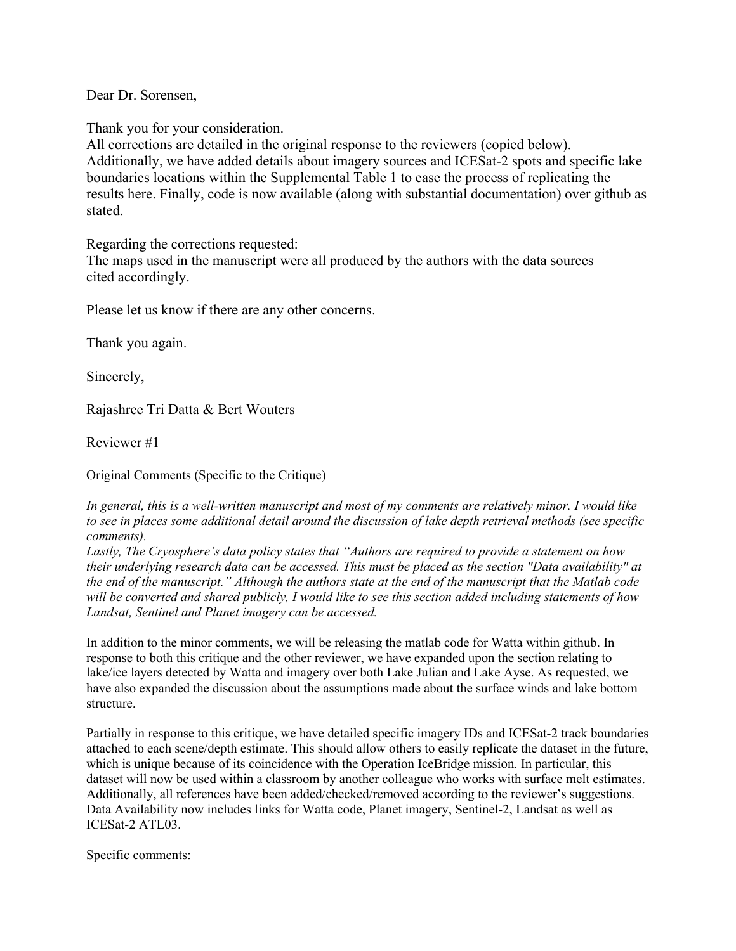Dear Dr. Sorensen,

Thank you for your consideration.

All corrections are detailed in the original response to the reviewers (copied below). Additionally, we have added details about imagery sources and ICESat-2 spots and specific lake boundaries locations within the Supplemental Table 1 to ease the process of replicating the results here. Finally, code is now available (along with substantial documentation) over github as stated.

Regarding the corrections requested:

The maps used in the manuscript were all produced by the authors with the data sources cited accordingly.

Please let us know if there are any other concerns.

Thank you again.

Sincerely,

Rajashree Tri Datta & Bert Wouters

Reviewer #1

Original Comments (Specific to the Critique)

*In general, this is a well-written manuscript and most of my comments are relatively minor. I would like to see in places some additional detail around the discussion of lake depth retrieval methods (see specific comments).*

*Lastly, The Cryosphere's data policy states that "Authors are required to provide a statement on how their underlying research data can be accessed. This must be placed as the section "Data availability" at the end of the manuscript." Although the authors state at the end of the manuscript that the Matlab code will be converted and shared publicly, I would like to see this section added including statements of how Landsat, Sentinel and Planet imagery can be accessed.*

In addition to the minor comments, we will be releasing the matlab code for Watta within github. In response to both this critique and the other reviewer, we have expanded upon the section relating to lake/ice layers detected by Watta and imagery over both Lake Julian and Lake Ayse. As requested, we have also expanded the discussion about the assumptions made about the surface winds and lake bottom structure.

Partially in response to this critique, we have detailed specific imagery IDs and ICESat-2 track boundaries attached to each scene/depth estimate. This should allow others to easily replicate the dataset in the future, which is unique because of its coincidence with the Operation IceBridge mission. In particular, this dataset will now be used within a classroom by another colleague who works with surface melt estimates. Additionally, all references have been added/checked/removed according to the reviewer's suggestions. Data Availability now includes links for Watta code, Planet imagery, Sentinel-2, Landsat as well as ICESat-2 ATL03.

Specific comments: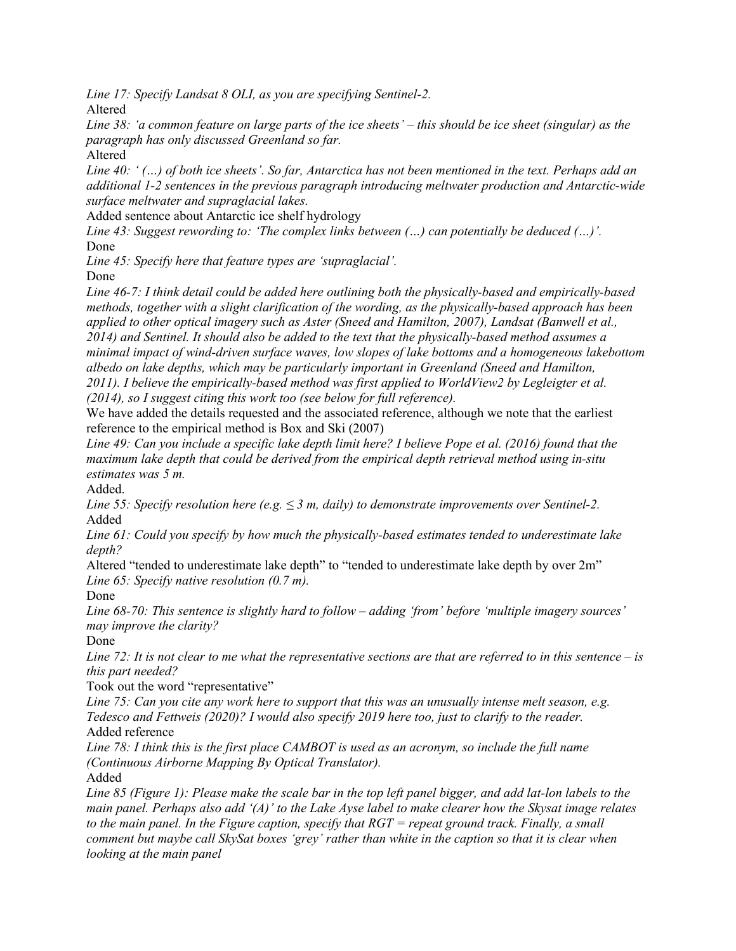*Line 17: Specify Landsat 8 OLI, as you are specifying Sentinel-2.* Altered

*Line 38: 'a common feature on large parts of the ice sheets' – this should be ice sheet (singular) as the paragraph has only discussed Greenland so far.*

Altered

*Line 40: ' (…) of both ice sheets'. So far, Antarctica has not been mentioned in the text. Perhaps add an additional 1-2 sentences in the previous paragraph introducing meltwater production and Antarctic-wide surface meltwater and supraglacial lakes.*

Added sentence about Antarctic ice shelf hydrology

*Line 43: Suggest rewording to: 'The complex links between (…) can potentially be deduced (…)'.* Done

*Line 45: Specify here that feature types are 'supraglacial'.*

Done

*Line 46-7: I think detail could be added here outlining both the physically-based and empirically-based methods, together with a slight clarification of the wording, as the physically-based approach has been applied to other optical imagery such as Aster (Sneed and Hamilton, 2007), Landsat (Banwell et al., 2014) and Sentinel. It should also be added to the text that the physically-based method assumes a minimal impact of wind-driven surface waves, low slopes of lake bottoms and a homogeneous lakebottom albedo on lake depths, which may be particularly important in Greenland (Sneed and Hamilton, 2011). I believe the empirically-based method was first applied to WorldView2 by Legleigter et al. (2014), so I suggest citing this work too (see below for full reference).*

We have added the details requested and the associated reference, although we note that the earliest reference to the empirical method is Box and Ski (2007)

*Line 49: Can you include a specific lake depth limit here? I believe Pope et al. (2016) found that the maximum lake depth that could be derived from the empirical depth retrieval method using in-situ estimates was 5 m.*

Added.

*Line 55: Specify resolution here (e.g. ≤ 3 m, daily) to demonstrate improvements over Sentinel-2.* Added

*Line 61: Could you specify by how much the physically-based estimates tended to underestimate lake depth?*

Altered "tended to underestimate lake depth" to "tended to underestimate lake depth by over 2m" *Line 65: Specify native resolution (0.7 m).*

Done

*Line 68-70: This sentence is slightly hard to follow – adding 'from' before 'multiple imagery sources' may improve the clarity?*

Done

*Line 72: It is not clear to me what the representative sections are that are referred to in this sentence – is this part needed?*

Took out the word "representative"

*Line 75: Can you cite any work here to support that this was an unusually intense melt season, e.g. Tedesco and Fettweis (2020)? I would also specify 2019 here too, just to clarify to the reader.* Added reference

*Line 78: I think this is the first place CAMBOT is used as an acronym, so include the full name (Continuous Airborne Mapping By Optical Translator).* Added

*Line 85 (Figure 1): Please make the scale bar in the top left panel bigger, and add lat-lon labels to the main panel. Perhaps also add '(A)' to the Lake Ayse label to make clearer how the Skysat image relates to the main panel. In the Figure caption, specify that RGT = repeat ground track. Finally, a small comment but maybe call SkySat boxes 'grey' rather than white in the caption so that it is clear when looking at the main panel*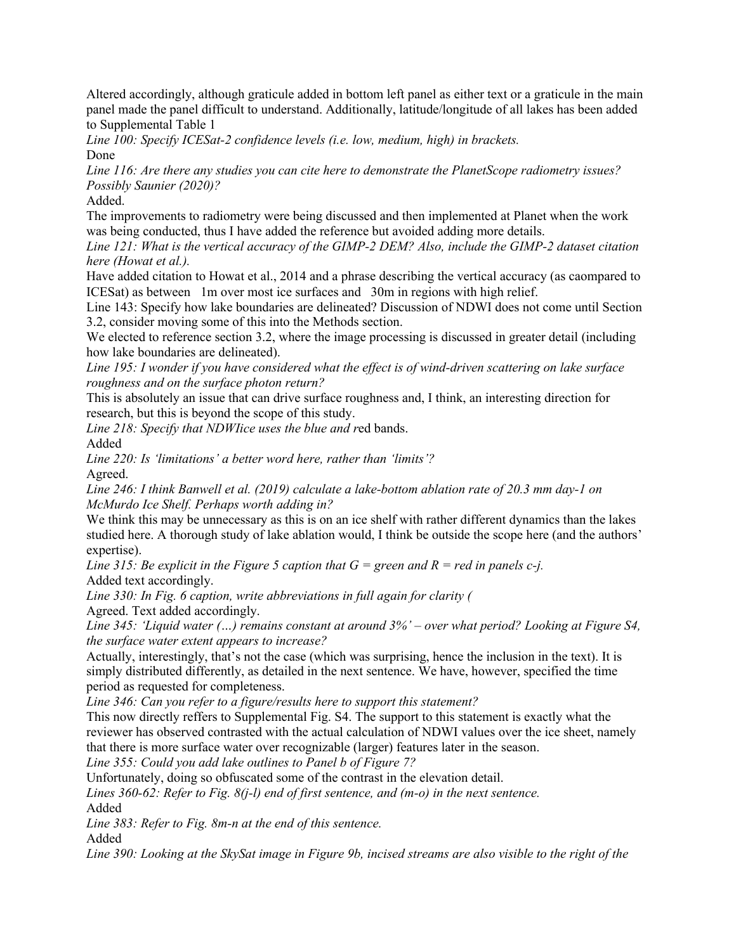Altered accordingly, although graticule added in bottom left panel as either text or a graticule in the main panel made the panel difficult to understand. Additionally, latitude/longitude of all lakes has been added to Supplemental Table 1

*Line 100: Specify ICESat-2 confidence levels (i.e. low, medium, high) in brackets.* Done

*Line 116: Are there any studies you can cite here to demonstrate the PlanetScope radiometry issues? Possibly Saunier (2020)?*

Added.

The improvements to radiometry were being discussed and then implemented at Planet when the work was being conducted, thus I have added the reference but avoided adding more details.

*Line 121: What is the vertical accuracy of the GIMP-2 DEM? Also, include the GIMP-2 dataset citation here (Howat et al.).*

Have added citation to Howat et al., 2014 and a phrase describing the vertical accuracy (as caompared to ICESat) as between 1m over most ice surfaces and 30m in regions with high relief.

Line 143: Specify how lake boundaries are delineated? Discussion of NDWI does not come until Section 3.2, consider moving some of this into the Methods section.

We elected to reference section 3.2, where the image processing is discussed in greater detail (including how lake boundaries are delineated).

*Line 195: I wonder if you have considered what the effect is of wind-driven scattering on lake surface roughness and on the surface photon return?*

This is absolutely an issue that can drive surface roughness and, I think, an interesting direction for research, but this is beyond the scope of this study.

*Line 218: Specify that NDWIice uses the blue and r*ed bands.

Added

*Line 220: Is 'limitations' a better word here, rather than 'limits'?* Agreed.

*Line 246: I think Banwell et al. (2019) calculate a lake-bottom ablation rate of 20.3 mm day-1 on McMurdo Ice Shelf. Perhaps worth adding in?*

We think this may be unnecessary as this is on an ice shelf with rather different dynamics than the lakes studied here. A thorough study of lake ablation would, I think be outside the scope here (and the authors' expertise).

*Line 315: Be explicit in the Figure 5 caption that*  $G =$  *green and R = red in panels c-i.* Added text accordingly.

*Line 330: In Fig. 6 caption, write abbreviations in full again for clarity (* Agreed. Text added accordingly.

*Line 345: 'Liquid water (…) remains constant at around 3%' – over what period? Looking at Figure S4, the surface water extent appears to increase?*

Actually, interestingly, that's not the case (which was surprising, hence the inclusion in the text). It is simply distributed differently, as detailed in the next sentence. We have, however, specified the time period as requested for completeness.

*Line 346: Can you refer to a figure/results here to support this statement?*

This now directly reffers to Supplemental Fig. S4. The support to this statement is exactly what the reviewer has observed contrasted with the actual calculation of NDWI values over the ice sheet, namely that there is more surface water over recognizable (larger) features later in the season.

*Line 355: Could you add lake outlines to Panel b of Figure 7?*

Unfortunately, doing so obfuscated some of the contrast in the elevation detail.

*Lines 360-62: Refer to Fig. 8(j-l) end of first sentence, and (m-o) in the next sentence.* Added

*Line 383: Refer to Fig. 8m-n at the end of this sentence.* Added

*Line 390: Looking at the SkySat image in Figure 9b, incised streams are also visible to the right of the*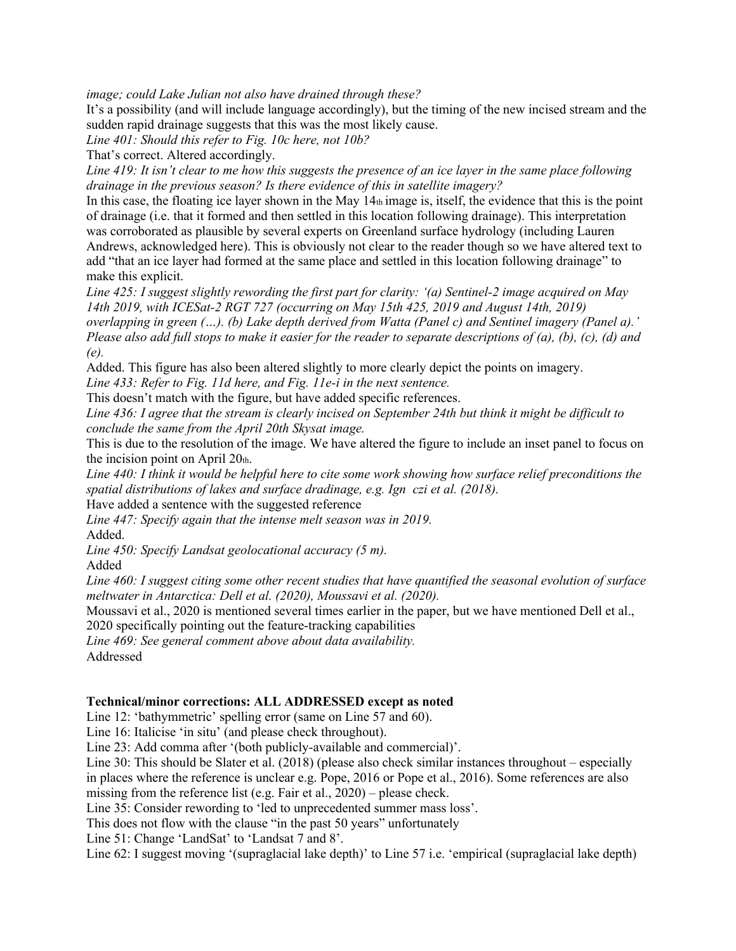*image; could Lake Julian not also have drained through these?*

It's a possibility (and will include language accordingly), but the timing of the new incised stream and the sudden rapid drainage suggests that this was the most likely cause.

*Line 401: Should this refer to Fig. 10c here, not 10b?*

That's correct. Altered accordingly.

*Line 419: It isn't clear to me how this suggests the presence of an ice layer in the same place following drainage in the previous season? Is there evidence of this in satellite imagery?*

In this case, the floating ice layer shown in the May  $14<sub>th</sub>$  image is, itself, the evidence that this is the point of drainage (i.e. that it formed and then settled in this location following drainage). This interpretation was corroborated as plausible by several experts on Greenland surface hydrology (including Lauren Andrews, acknowledged here). This is obviously not clear to the reader though so we have altered text to add "that an ice layer had formed at the same place and settled in this location following drainage" to make this explicit.

*Line 425: I suggest slightly rewording the first part for clarity: '(a) Sentinel-2 image acquired on May 14th 2019, with ICESat-2 RGT 727 (occurring on May 15th 425, 2019 and August 14th, 2019) overlapping in green (…). (b) Lake depth derived from Watta (Panel c) and Sentinel imagery (Panel a).' Please also add full stops to make it easier for the reader to separate descriptions of (a), (b), (c), (d) and (e).*

Added. This figure has also been altered slightly to more clearly depict the points on imagery.

*Line 433: Refer to Fig. 11d here, and Fig. 11e-i in the next sentence.*

This doesn't match with the figure, but have added specific references.

*Line 436: I agree that the stream is clearly incised on September 24th but think it might be difficult to conclude the same from the April 20th Skysat image.*

This is due to the resolution of the image. We have altered the figure to include an inset panel to focus on the incision point on April  $20<sub>th</sub>$ .

*Line 440: I think it would be helpful here to cite some work showing how surface relief preconditions the spatial distributions of lakes and surface dradinage, e.g. Ign czi et al. (2018).*

Have added a sentence with the suggested reference

*Line 447: Specify again that the intense melt season was in 2019.* Added.

*Line 450: Specify Landsat geolocational accuracy (5 m).*

Added

*Line 460: I suggest citing some other recent studies that have quantified the seasonal evolution of surface meltwater in Antarctica: Dell et al. (2020), Moussavi et al. (2020).*

Moussavi et al., 2020 is mentioned several times earlier in the paper, but we have mentioned Dell et al., 2020 specifically pointing out the feature-tracking capabilities

*Line 469: See general comment above about data availability.* Addressed

## **Technical/minor corrections: ALL ADDRESSED except as noted**

Line 12: 'bathymmetric' spelling error (same on Line 57 and 60).

Line 16: Italicise 'in situ' (and please check throughout).

Line 23: Add comma after '(both publicly-available and commercial)'.

Line 30: This should be Slater et al. (2018) (please also check similar instances throughout – especially in places where the reference is unclear e.g. Pope, 2016 or Pope et al., 2016). Some references are also

missing from the reference list (e.g. Fair et al., 2020) – please check.

Line 35: Consider rewording to 'led to unprecedented summer mass loss'.

This does not flow with the clause "in the past 50 years" unfortunately

Line 51: Change 'LandSat' to 'Landsat 7 and 8'.

Line 62: I suggest moving '(supraglacial lake depth)' to Line 57 i.e. 'empirical (supraglacial lake depth)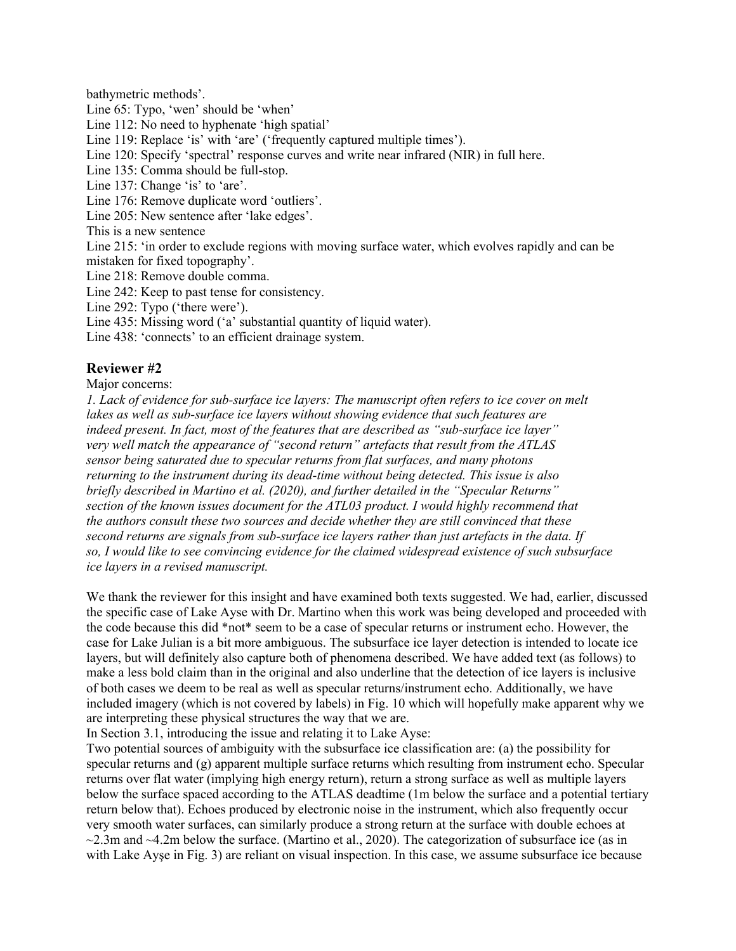bathymetric methods'.

Line 65: Typo, 'wen' should be 'when'

Line 112: No need to hyphenate 'high spatial'

Line 119: Replace 'is' with 'are' ('frequently captured multiple times').

Line 120: Specify 'spectral' response curves and write near infrared (NIR) in full here.

Line 135: Comma should be full-stop.

Line 137: Change 'is' to 'are'.

Line 176: Remove duplicate word 'outliers'.

Line 205: New sentence after 'lake edges'.

This is a new sentence

Line 215: 'in order to exclude regions with moving surface water, which evolves rapidly and can be mistaken for fixed topography'.

Line 218: Remove double comma.

Line 242: Keep to past tense for consistency.

Line 292: Typo ('there were').

Line 435: Missing word ('a' substantial quantity of liquid water).

Line 438: 'connects' to an efficient drainage system.

# **Reviewer #2**

Major concerns:

*1. Lack of evidence for sub-surface ice layers: The manuscript often refers to ice cover on melt lakes as well as sub-surface ice layers without showing evidence that such features are indeed present. In fact, most of the features that are described as "sub-surface ice layer" very well match the appearance of "second return" artefacts that result from the ATLAS sensor being saturated due to specular returns from flat surfaces, and many photons returning to the instrument during its dead-time without being detected. This issue is also briefly described in Martino et al. (2020), and further detailed in the "Specular Returns" section of the known issues document for the ATL03 product. I would highly recommend that the authors consult these two sources and decide whether they are still convinced that these second returns are signals from sub-surface ice layers rather than just artefacts in the data. If so, I would like to see convincing evidence for the claimed widespread existence of such subsurface ice layers in a revised manuscript.*

We thank the reviewer for this insight and have examined both texts suggested. We had, earlier, discussed the specific case of Lake Ayse with Dr. Martino when this work was being developed and proceeded with the code because this did \*not\* seem to be a case of specular returns or instrument echo. However, the case for Lake Julian is a bit more ambiguous. The subsurface ice layer detection is intended to locate ice layers, but will definitely also capture both of phenomena described. We have added text (as follows) to make a less bold claim than in the original and also underline that the detection of ice layers is inclusive of both cases we deem to be real as well as specular returns/instrument echo. Additionally, we have included imagery (which is not covered by labels) in Fig. 10 which will hopefully make apparent why we are interpreting these physical structures the way that we are.

In Section 3.1, introducing the issue and relating it to Lake Ayse:

Two potential sources of ambiguity with the subsurface ice classification are: (a) the possibility for specular returns and (g) apparent multiple surface returns which resulting from instrument echo. Specular returns over flat water (implying high energy return), return a strong surface as well as multiple layers below the surface spaced according to the ATLAS deadtime (1m below the surface and a potential tertiary return below that). Echoes produced by electronic noise in the instrument, which also frequently occur very smooth water surfaces, can similarly produce a strong return at the surface with double echoes at  $\sim$ 2.3m and  $\sim$ 4.2m below the surface. (Martino et al., 2020). The categorization of subsurface ice (as in with Lake Ayse in Fig. 3) are reliant on visual inspection. In this case, we assume subsurface ice because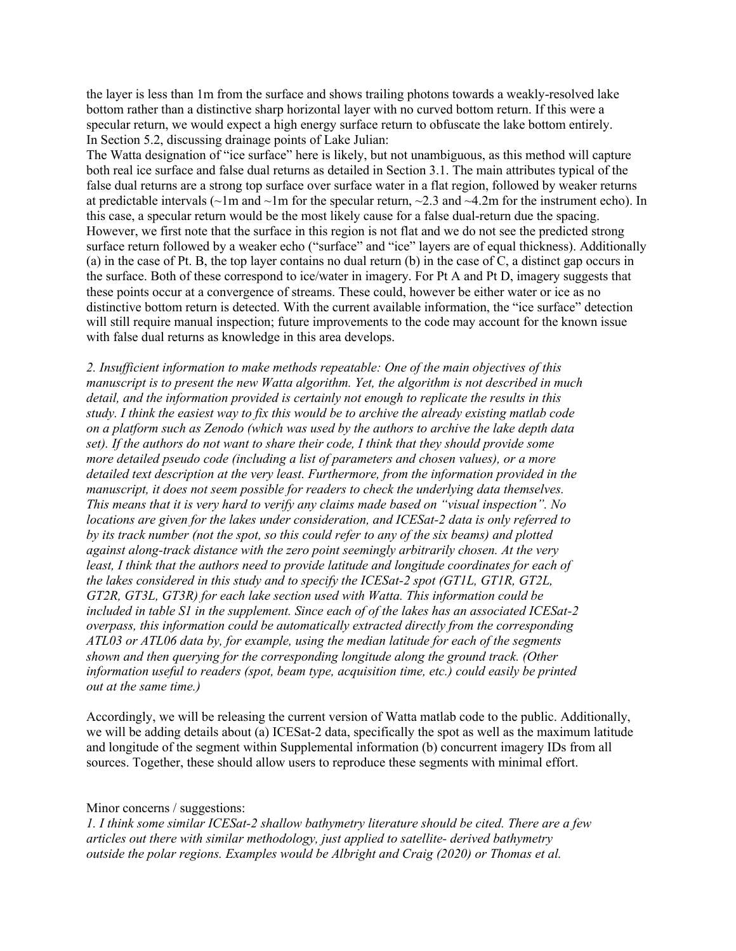the layer is less than 1m from the surface and shows trailing photons towards a weakly-resolved lake bottom rather than a distinctive sharp horizontal layer with no curved bottom return. If this were a specular return, we would expect a high energy surface return to obfuscate the lake bottom entirely. In Section 5.2, discussing drainage points of Lake Julian:

The Watta designation of "ice surface" here is likely, but not unambiguous, as this method will capture both real ice surface and false dual returns as detailed in Section 3.1. The main attributes typical of the false dual returns are a strong top surface over surface water in a flat region, followed by weaker returns at predictable intervals ( $\sim$ 1m and  $\sim$ 1m for the specular return,  $\sim$ 2.3 and  $\sim$ 4.2m for the instrument echo). In this case, a specular return would be the most likely cause for a false dual-return due the spacing. However, we first note that the surface in this region is not flat and we do not see the predicted strong surface return followed by a weaker echo ("surface" and "ice" layers are of equal thickness). Additionally (a) in the case of Pt. B, the top layer contains no dual return (b) in the case of C, a distinct gap occurs in the surface. Both of these correspond to ice/water in imagery. For Pt A and Pt D, imagery suggests that these points occur at a convergence of streams. These could, however be either water or ice as no distinctive bottom return is detected. With the current available information, the "ice surface" detection will still require manual inspection; future improvements to the code may account for the known issue with false dual returns as knowledge in this area develops.

*2. Insufficient information to make methods repeatable: One of the main objectives of this manuscript is to present the new Watta algorithm. Yet, the algorithm is not described in much detail, and the information provided is certainly not enough to replicate the results in this study. I think the easiest way to fix this would be to archive the already existing matlab code on a platform such as Zenodo (which was used by the authors to archive the lake depth data set). If the authors do not want to share their code, I think that they should provide some more detailed pseudo code (including a list of parameters and chosen values), or a more detailed text description at the very least. Furthermore, from the information provided in the manuscript, it does not seem possible for readers to check the underlying data themselves. This means that it is very hard to verify any claims made based on "visual inspection". No locations are given for the lakes under consideration, and ICESat-2 data is only referred to by its track number (not the spot, so this could refer to any of the six beams) and plotted against along-track distance with the zero point seemingly arbitrarily chosen. At the very least, I think that the authors need to provide latitude and longitude coordinates for each of the lakes considered in this study and to specify the ICESat-2 spot (GT1L, GT1R, GT2L, GT2R, GT3L, GT3R) for each lake section used with Watta. This information could be included in table S1 in the supplement. Since each of of the lakes has an associated ICESat-2 overpass, this information could be automatically extracted directly from the corresponding ATL03 or ATL06 data by, for example, using the median latitude for each of the segments shown and then querying for the corresponding longitude along the ground track. (Other information useful to readers (spot, beam type, acquisition time, etc.) could easily be printed out at the same time.)*

Accordingly, we will be releasing the current version of Watta matlab code to the public. Additionally, we will be adding details about (a) ICESat-2 data, specifically the spot as well as the maximum latitude and longitude of the segment within Supplemental information (b) concurrent imagery IDs from all sources. Together, these should allow users to reproduce these segments with minimal effort.

### Minor concerns / suggestions:

*1. I think some similar ICESat-2 shallow bathymetry literature should be cited. There are a few articles out there with similar methodology, just applied to satellite- derived bathymetry outside the polar regions. Examples would be Albright and Craig (2020) or Thomas et al.*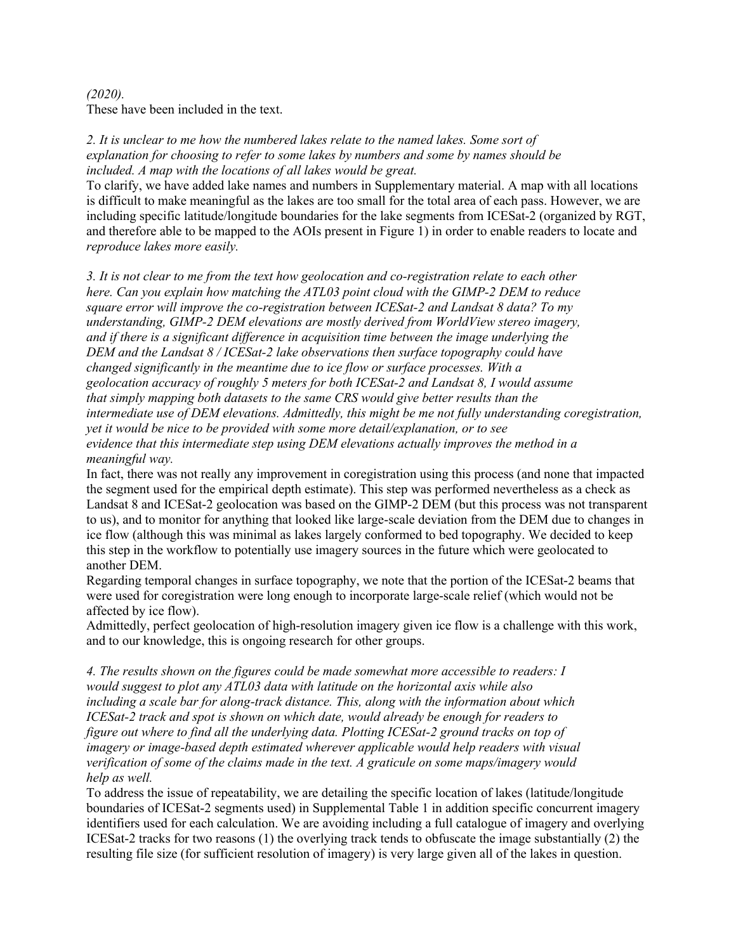# *(2020).* These have been included in the text.

*2. It is unclear to me how the numbered lakes relate to the named lakes. Some sort of explanation for choosing to refer to some lakes by numbers and some by names should be included. A map with the locations of all lakes would be great.*

To clarify, we have added lake names and numbers in Supplementary material. A map with all locations is difficult to make meaningful as the lakes are too small for the total area of each pass. However, we are including specific latitude/longitude boundaries for the lake segments from ICESat-2 (organized by RGT, and therefore able to be mapped to the AOIs present in Figure 1) in order to enable readers to locate and *reproduce lakes more easily.*

*3. It is not clear to me from the text how geolocation and co-registration relate to each other here. Can you explain how matching the ATL03 point cloud with the GIMP-2 DEM to reduce square error will improve the co-registration between ICESat-2 and Landsat 8 data? To my understanding, GIMP-2 DEM elevations are mostly derived from WorldView stereo imagery, and if there is a significant difference in acquisition time between the image underlying the DEM and the Landsat 8 / ICESat-2 lake observations then surface topography could have changed significantly in the meantime due to ice flow or surface processes. With a geolocation accuracy of roughly 5 meters for both ICESat-2 and Landsat 8, I would assume that simply mapping both datasets to the same CRS would give better results than the intermediate use of DEM elevations. Admittedly, this might be me not fully understanding coregistration, yet it would be nice to be provided with some more detail/explanation, or to see evidence that this intermediate step using DEM elevations actually improves the method in a meaningful way.*

In fact, there was not really any improvement in coregistration using this process (and none that impacted the segment used for the empirical depth estimate). This step was performed nevertheless as a check as Landsat 8 and ICESat-2 geolocation was based on the GIMP-2 DEM (but this process was not transparent to us), and to monitor for anything that looked like large-scale deviation from the DEM due to changes in ice flow (although this was minimal as lakes largely conformed to bed topography. We decided to keep this step in the workflow to potentially use imagery sources in the future which were geolocated to another DEM.

Regarding temporal changes in surface topography, we note that the portion of the ICESat-2 beams that were used for coregistration were long enough to incorporate large-scale relief (which would not be affected by ice flow).

Admittedly, perfect geolocation of high-resolution imagery given ice flow is a challenge with this work, and to our knowledge, this is ongoing research for other groups.

*4. The results shown on the figures could be made somewhat more accessible to readers: I would suggest to plot any ATL03 data with latitude on the horizontal axis while also including a scale bar for along-track distance. This, along with the information about which ICESat-2 track and spot is shown on which date, would already be enough for readers to figure out where to find all the underlying data. Plotting ICESat-2 ground tracks on top of imagery or image-based depth estimated wherever applicable would help readers with visual verification of some of the claims made in the text. A graticule on some maps/imagery would help as well.*

To address the issue of repeatability, we are detailing the specific location of lakes (latitude/longitude boundaries of ICESat-2 segments used) in Supplemental Table 1 in addition specific concurrent imagery identifiers used for each calculation. We are avoiding including a full catalogue of imagery and overlying ICESat-2 tracks for two reasons (1) the overlying track tends to obfuscate the image substantially (2) the resulting file size (for sufficient resolution of imagery) is very large given all of the lakes in question.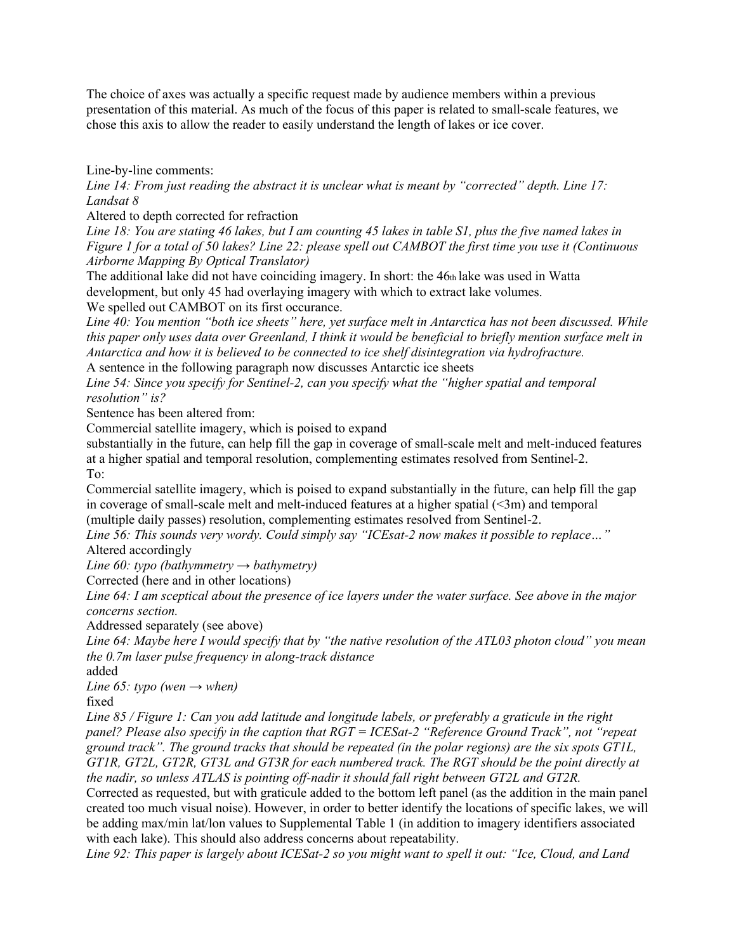The choice of axes was actually a specific request made by audience members within a previous presentation of this material. As much of the focus of this paper is related to small-scale features, we chose this axis to allow the reader to easily understand the length of lakes or ice cover.

Line-by-line comments:

*Line 14: From just reading the abstract it is unclear what is meant by "corrected" depth. Line 17: Landsat 8*

Altered to depth corrected for refraction

*Line 18: You are stating 46 lakes, but I am counting 45 lakes in table S1, plus the five named lakes in Figure 1 for a total of 50 lakes? Line 22: please spell out CAMBOT the first time you use it (Continuous Airborne Mapping By Optical Translator)*

The additional lake did not have coinciding imagery. In short: the 46th lake was used in Watta development, but only 45 had overlaying imagery with which to extract lake volumes. We spelled out CAMBOT on its first occurance.

*Line 40: You mention "both ice sheets" here, yet surface melt in Antarctica has not been discussed. While this paper only uses data over Greenland, I think it would be beneficial to briefly mention surface melt in Antarctica and how it is believed to be connected to ice shelf disintegration via hydrofracture.*

A sentence in the following paragraph now discusses Antarctic ice sheets

*Line 54: Since you specify for Sentinel-2, can you specify what the "higher spatial and temporal resolution" is?*

Sentence has been altered from:

Commercial satellite imagery, which is poised to expand

substantially in the future, can help fill the gap in coverage of small-scale melt and melt-induced features at a higher spatial and temporal resolution, complementing estimates resolved from Sentinel-2. To:

Commercial satellite imagery, which is poised to expand substantially in the future, can help fill the gap in coverage of small-scale melt and melt-induced features at a higher spatial  $(\leq 3m)$  and temporal (multiple daily passes) resolution, complementing estimates resolved from Sentinel-2.

*Line 56: This sounds very wordy. Could simply say "ICEsat-2 now makes it possible to replace…"* Altered accordingly

*Line 60: typo (bathymmetry → bathymetry)*

Corrected (here and in other locations)

*Line 64: I am sceptical about the presence of ice layers under the water surface. See above in the major concerns section.*

Addressed separately (see above)

*Line 64: Maybe here I would specify that by "the native resolution of the ATL03 photon cloud" you mean the 0.7m laser pulse frequency in along-track distance*

added

*Line 65: typo (wen*  $\rightarrow$  *when)* 

fixed

*Line 85 / Figure 1: Can you add latitude and longitude labels, or preferably a graticule in the right panel? Please also specify in the caption that RGT = ICESat-2 "Reference Ground Track", not "repeat ground track". The ground tracks that should be repeated (in the polar regions) are the six spots GT1L, GT1R, GT2L, GT2R, GT3L and GT3R for each numbered track. The RGT should be the point directly at the nadir, so unless ATLAS is pointing off-nadir it should fall right between GT2L and GT2R.*

Corrected as requested, but with graticule added to the bottom left panel (as the addition in the main panel created too much visual noise). However, in order to better identify the locations of specific lakes, we will be adding max/min lat/lon values to Supplemental Table 1 (in addition to imagery identifiers associated with each lake). This should also address concerns about repeatability.

*Line 92: This paper is largely about ICESat-2 so you might want to spell it out: "Ice, Cloud, and Land*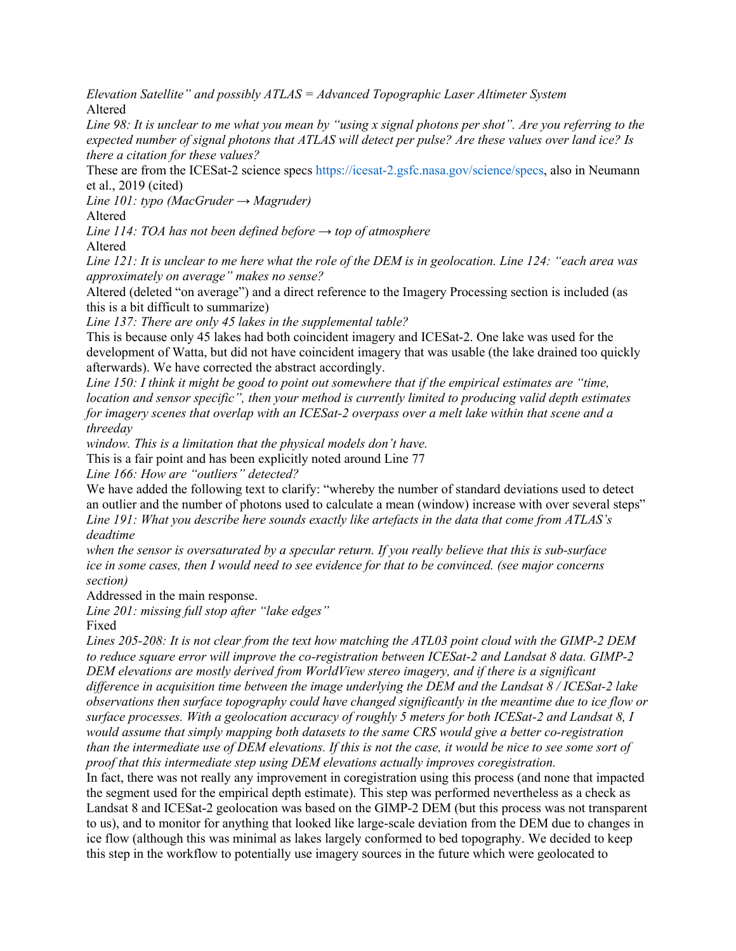*Elevation Satellite" and possibly ATLAS = Advanced Topographic Laser Altimeter System* Altered

*Line 98: It is unclear to me what you mean by "using x signal photons per shot". Are you referring to the expected number of signal photons that ATLAS will detect per pulse? Are these values over land ice? Is there a citation for these values?*

These are from the ICESat-2 science specs https://icesat-2.gsfc.nasa.gov/science/specs, also in Neumann et al., 2019 (cited)

*Line 101: typo (MacGruder → Magruder)*

Altered

*Line 114: TOA has not been defined before → top of atmosphere*

Altered

*Line 121: It is unclear to me here what the role of the DEM is in geolocation. Line 124: "each area was approximately on average" makes no sense?*

Altered (deleted "on average") and a direct reference to the Imagery Processing section is included (as this is a bit difficult to summarize)

*Line 137: There are only 45 lakes in the supplemental table?*

This is because only 45 lakes had both coincident imagery and ICESat-2. One lake was used for the development of Watta, but did not have coincident imagery that was usable (the lake drained too quickly afterwards). We have corrected the abstract accordingly.

*Line 150: I think it might be good to point out somewhere that if the empirical estimates are "time, location and sensor specific", then your method is currently limited to producing valid depth estimates for imagery scenes that overlap with an ICESat-2 overpass over a melt lake within that scene and a threeday*

*window. This is a limitation that the physical models don't have.*

This is a fair point and has been explicitly noted around Line 77

*Line 166: How are "outliers" detected?*

We have added the following text to clarify: "whereby the number of standard deviations used to detect an outlier and the number of photons used to calculate a mean (window) increase with over several steps" *Line 191: What you describe here sounds exactly like artefacts in the data that come from ATLAS's deadtime*

*when the sensor is oversaturated by a specular return. If you really believe that this is sub-surface ice in some cases, then I would need to see evidence for that to be convinced. (see major concerns section)*

Addressed in the main response.

*Line 201: missing full stop after "lake edges"*

Fixed

*Lines 205-208: It is not clear from the text how matching the ATL03 point cloud with the GIMP-2 DEM to reduce square error will improve the co-registration between ICESat-2 and Landsat 8 data. GIMP-2 DEM elevations are mostly derived from WorldView stereo imagery, and if there is a significant difference in acquisition time between the image underlying the DEM and the Landsat 8 / ICESat-2 lake observations then surface topography could have changed significantly in the meantime due to ice flow or surface processes. With a geolocation accuracy of roughly 5 meters for both ICESat-2 and Landsat 8, I would assume that simply mapping both datasets to the same CRS would give a better co-registration than the intermediate use of DEM elevations. If this is not the case, it would be nice to see some sort of proof that this intermediate step using DEM elevations actually improves coregistration.*

In fact, there was not really any improvement in coregistration using this process (and none that impacted the segment used for the empirical depth estimate). This step was performed nevertheless as a check as Landsat 8 and ICESat-2 geolocation was based on the GIMP-2 DEM (but this process was not transparent to us), and to monitor for anything that looked like large-scale deviation from the DEM due to changes in ice flow (although this was minimal as lakes largely conformed to bed topography. We decided to keep this step in the workflow to potentially use imagery sources in the future which were geolocated to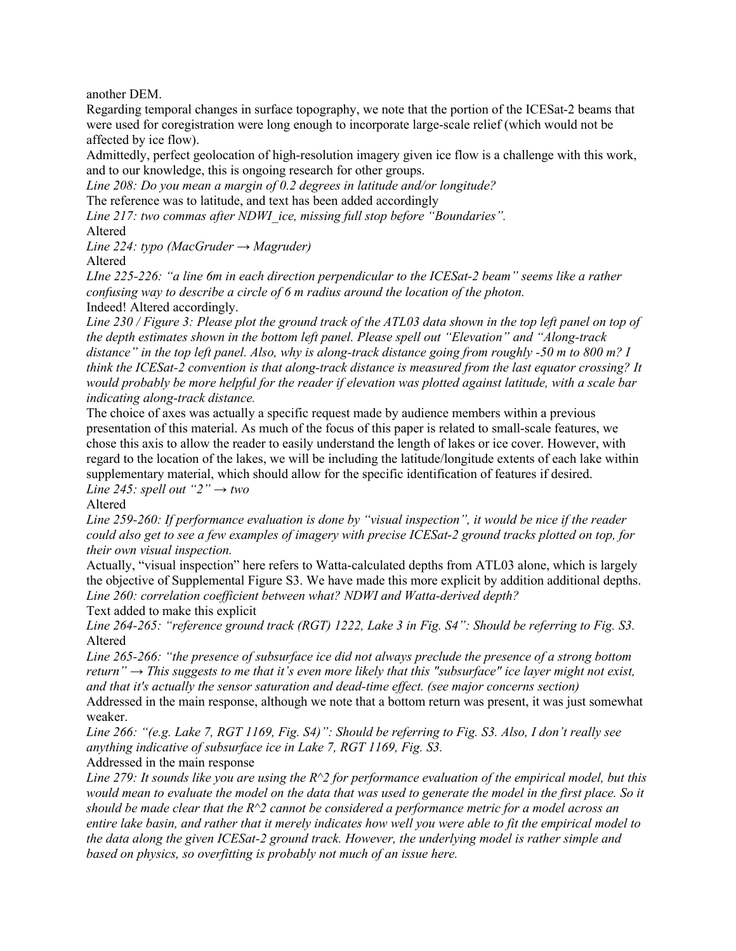another DEM.

Regarding temporal changes in surface topography, we note that the portion of the ICESat-2 beams that were used for coregistration were long enough to incorporate large-scale relief (which would not be affected by ice flow).

Admittedly, perfect geolocation of high-resolution imagery given ice flow is a challenge with this work, and to our knowledge, this is ongoing research for other groups.

*Line 208: Do you mean a margin of 0.2 degrees in latitude and/or longitude?*

The reference was to latitude, and text has been added accordingly

*Line 217: two commas after NDWI\_ice, missing full stop before "Boundaries".*

Altered

*Line 224: typo (MacGruder → Magruder)*

Altered

*LIne 225-226: "a line 6m in each direction perpendicular to the ICESat-2 beam" seems like a rather confusing way to describe a circle of 6 m radius around the location of the photon.* Indeed! Altered accordingly.

*Line 230 / Figure 3: Please plot the ground track of the ATL03 data shown in the top left panel on top of the depth estimates shown in the bottom left panel. Please spell out "Elevation" and "Along-track distance" in the top left panel. Also, why is along-track distance going from roughly -50 m to 800 m? I think the ICESat-2 convention is that along-track distance is measured from the last equator crossing? It would probably be more helpful for the reader if elevation was plotted against latitude, with a scale bar indicating along-track distance.*

The choice of axes was actually a specific request made by audience members within a previous presentation of this material. As much of the focus of this paper is related to small-scale features, we chose this axis to allow the reader to easily understand the length of lakes or ice cover. However, with regard to the location of the lakes, we will be including the latitude/longitude extents of each lake within supplementary material, which should allow for the specific identification of features if desired. *Line 245: spell out "2"*  $\rightarrow$  *two* 

Altered

*Line 259-260: If performance evaluation is done by "visual inspection", it would be nice if the reader could also get to see a few examples of imagery with precise ICESat-2 ground tracks plotted on top, for their own visual inspection.*

Actually, "visual inspection" here refers to Watta-calculated depths from ATL03 alone, which is largely the objective of Supplemental Figure S3. We have made this more explicit by addition additional depths. *Line 260: correlation coefficient between what? NDWI and Watta-derived depth?*

Text added to make this explicit

*Line 264-265: "reference ground track (RGT) 1222, Lake 3 in Fig. S4": Should be referring to Fig. S3.* Altered

*Line 265-266: "the presence of subsurface ice did not always preclude the presence of a strong bottom return" → This suggests to me that it's even more likely that this "subsurface" ice layer might not exist, and that it's actually the sensor saturation and dead-time effect. (see major concerns section)*

Addressed in the main response, although we note that a bottom return was present, it was just somewhat weaker.

*Line 266: "(e.g. Lake 7, RGT 1169, Fig. S4)": Should be referring to Fig. S3. Also, I don't really see anything indicative of subsurface ice in Lake 7, RGT 1169, Fig. S3.*

Addressed in the main response

*Line 279: It sounds like you are using the R^2 for performance evaluation of the empirical model, but this would mean to evaluate the model on the data that was used to generate the model in the first place. So it should be made clear that the R^2 cannot be considered a performance metric for a model across an entire lake basin, and rather that it merely indicates how well you were able to fit the empirical model to the data along the given ICESat-2 ground track. However, the underlying model is rather simple and based on physics, so overfitting is probably not much of an issue here.*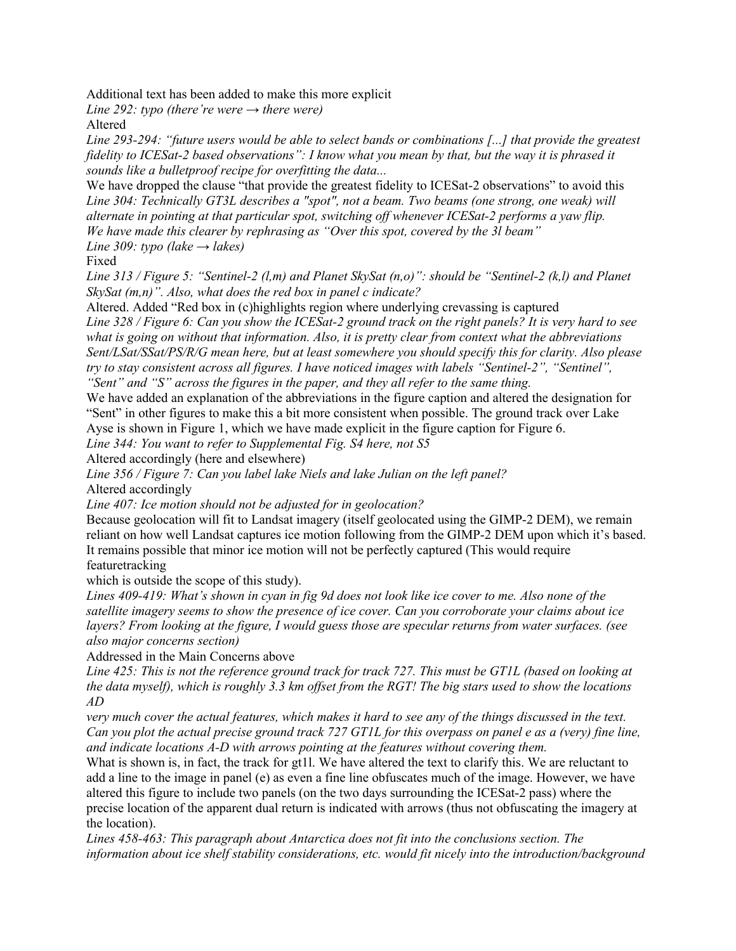Additional text has been added to make this more explicit

*Line 292: typo (there're were → there were)*

Altered

*Line 293-294: "future users would be able to select bands or combinations [...] that provide the greatest fidelity to ICESat-2 based observations": I know what you mean by that, but the way it is phrased it sounds like a bulletproof recipe for overfitting the data...*

We have dropped the clause "that provide the greatest fidelity to ICESat-2 observations" to avoid this *Line 304: Technically GT3L describes a "spot", not a beam. Two beams (one strong, one weak) will alternate in pointing at that particular spot, switching off whenever ICESat-2 performs a yaw flip. We have made this clearer by rephrasing as "Over this spot, covered by the 3l beam"*

*Line* 309: typo (lake  $\rightarrow$  lakes)

Fixed

*Line 313 / Figure 5: "Sentinel-2 (l,m) and Planet SkySat (n,o)": should be "Sentinel-2 (k,l) and Planet SkySat (m,n)". Also, what does the red box in panel c indicate?*

Altered. Added "Red box in (c)highlights region where underlying crevassing is captured *Line 328 / Figure 6: Can you show the ICESat-2 ground track on the right panels? It is very hard to see what is going on without that information. Also, it is pretty clear from context what the abbreviations Sent/LSat/SSat/PS/R/G mean here, but at least somewhere you should specify this for clarity. Also please try to stay consistent across all figures. I have noticed images with labels "Sentinel-2", "Sentinel", "Sent" and "S" across the figures in the paper, and they all refer to the same thing.*

We have added an explanation of the abbreviations in the figure caption and altered the designation for "Sent" in other figures to make this a bit more consistent when possible. The ground track over Lake Ayse is shown in Figure 1, which we have made explicit in the figure caption for Figure 6.

*Line 344: You want to refer to Supplemental Fig. S4 here, not S5*

Altered accordingly (here and elsewhere)

*Line 356 / Figure 7: Can you label lake Niels and lake Julian on the left panel?* Altered accordingly

*Line 407: Ice motion should not be adjusted for in geolocation?*

Because geolocation will fit to Landsat imagery (itself geolocated using the GIMP-2 DEM), we remain reliant on how well Landsat captures ice motion following from the GIMP-2 DEM upon which it's based. It remains possible that minor ice motion will not be perfectly captured (This would require featuretracking

which is outside the scope of this study).

*Lines 409-419: What's shown in cyan in fig 9d does not look like ice cover to me. Also none of the satellite imagery seems to show the presence of ice cover. Can you corroborate your claims about ice layers? From looking at the figure, I would guess those are specular returns from water surfaces. (see also major concerns section)*

Addressed in the Main Concerns above

*Line 425: This is not the reference ground track for track 727. This must be GT1L (based on looking at the data myself), which is roughly 3.3 km offset from the RGT! The big stars used to show the locations AD*

*very much cover the actual features, which makes it hard to see any of the things discussed in the text. Can you plot the actual precise ground track 727 GT1L for this overpass on panel e as a (very) fine line, and indicate locations A-D with arrows pointing at the features without covering them.*

What is shown is, in fact, the track for gt1l. We have altered the text to clarify this. We are reluctant to add a line to the image in panel (e) as even a fine line obfuscates much of the image. However, we have altered this figure to include two panels (on the two days surrounding the ICESat-2 pass) where the precise location of the apparent dual return is indicated with arrows (thus not obfuscating the imagery at the location).

*Lines 458-463: This paragraph about Antarctica does not fit into the conclusions section. The information about ice shelf stability considerations, etc. would fit nicely into the introduction/background*